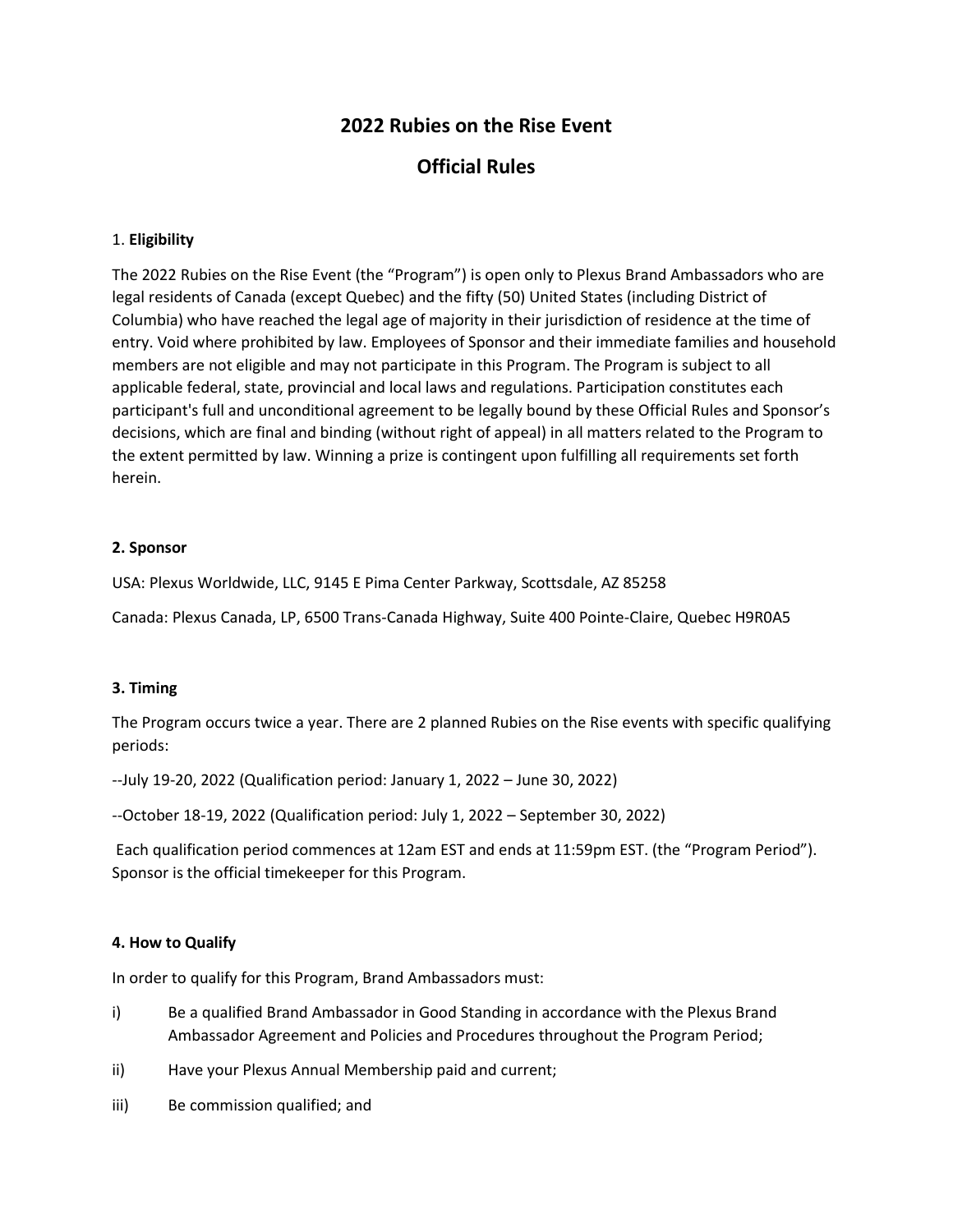# **2022 Rubies on the Rise Event**

# **Official Rules**

#### 1. **Eligibility**

The 2022 Rubies on the Rise Event (the "Program") is open only to Plexus Brand Ambassadors who are legal residents of Canada (except Quebec) and the fifty (50) United States (including District of Columbia) who have reached the legal age of majority in their jurisdiction of residence at the time of entry. Void where prohibited by law. Employees of Sponsor and their immediate families and household members are not eligible and may not participate in this Program. The Program is subject to all applicable federal, state, provincial and local laws and regulations. Participation constitutes each participant's full and unconditional agreement to be legally bound by these Official Rules and Sponsor's decisions, which are final and binding (without right of appeal) in all matters related to the Program to the extent permitted by law. Winning a prize is contingent upon fulfilling all requirements set forth herein.

#### **2. Sponsor**

USA: Plexus Worldwide, LLC, 9145 E Pima Center Parkway, Scottsdale, AZ 85258

Canada: Plexus Canada, LP, 6500 Trans-Canada Highway, Suite 400 Pointe-Claire, Quebec H9R0A5

#### **3. Timing**

The Program occurs twice a year. There are 2 planned Rubies on the Rise events with specific qualifying periods:

--July 19-20, 2022 (Qualification period: January 1, 2022 – June 30, 2022)

--October 18-19, 2022 (Qualification period: July 1, 2022 – September 30, 2022)

Each qualification period commences at 12am EST and ends at 11:59pm EST. (the "Program Period"). Sponsor is the official timekeeper for this Program.

#### **4. How to Qualify**

In order to qualify for this Program, Brand Ambassadors must:

- i) Be a qualified Brand Ambassador in Good Standing in accordance with the Plexus Brand Ambassador Agreement and Policies and Procedures throughout the Program Period;
- ii) Have your Plexus Annual Membership paid and current;
- iii) Be commission qualified; and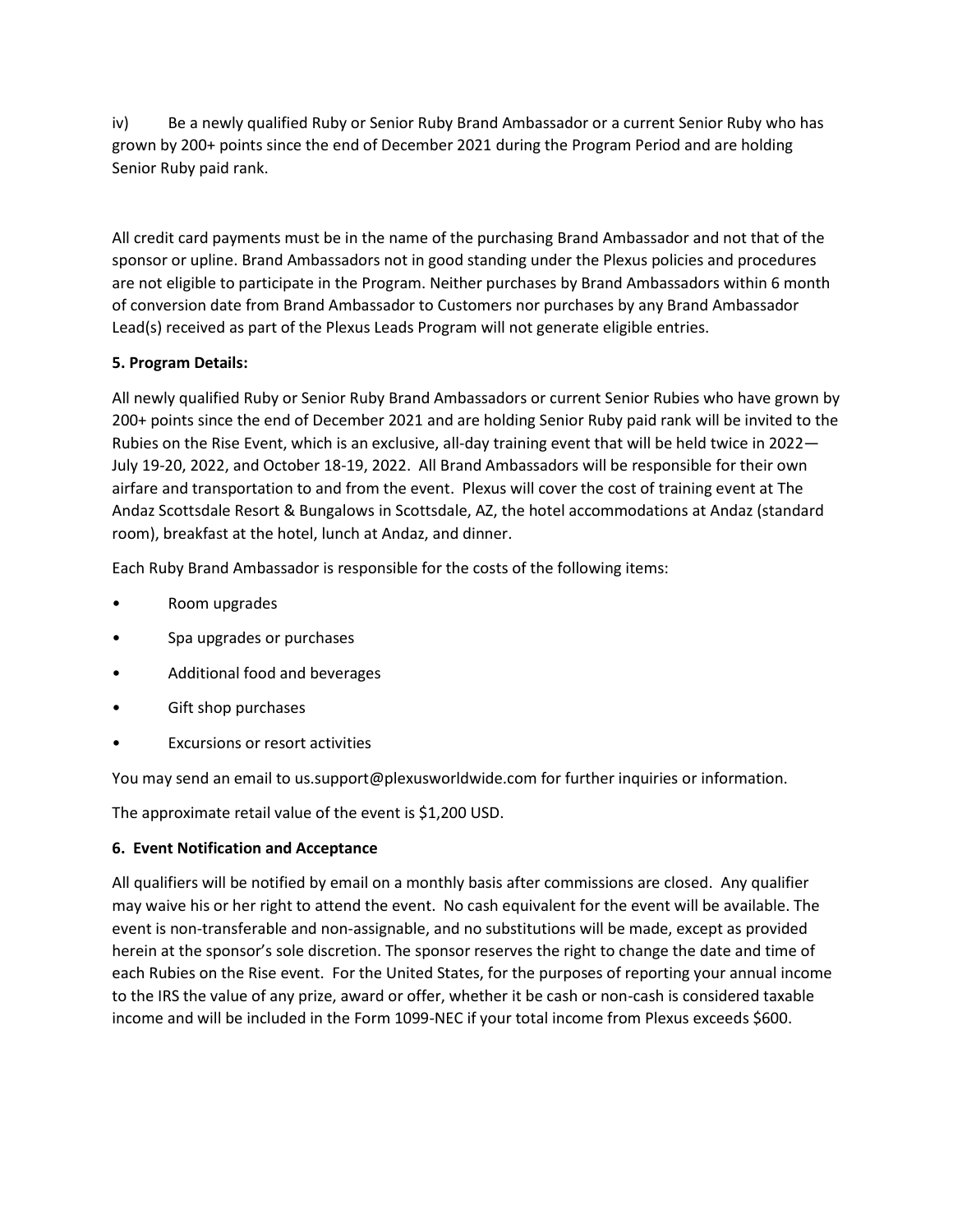iv) Be a newly qualified Ruby or Senior Ruby Brand Ambassador or a current Senior Ruby who has grown by 200+ points since the end of December 2021 during the Program Period and are holding Senior Ruby paid rank.

All credit card payments must be in the name of the purchasing Brand Ambassador and not that of the sponsor or upline. Brand Ambassadors not in good standing under the Plexus policies and procedures are not eligible to participate in the Program. Neither purchases by Brand Ambassadors within 6 month of conversion date from Brand Ambassador to Customers nor purchases by any Brand Ambassador Lead(s) received as part of the Plexus Leads Program will not generate eligible entries.

## **5. Program Details:**

All newly qualified Ruby or Senior Ruby Brand Ambassadors or current Senior Rubies who have grown by 200+ points since the end of December 2021 and are holding Senior Ruby paid rank will be invited to the Rubies on the Rise Event, which is an exclusive, all-day training event that will be held twice in 2022— July 19-20, 2022, and October 18-19, 2022. All Brand Ambassadors will be responsible for their own airfare and transportation to and from the event. Plexus will cover the cost of training event at The Andaz Scottsdale Resort & Bungalows in Scottsdale, AZ, the hotel accommodations at Andaz (standard room), breakfast at the hotel, lunch at Andaz, and dinner.

Each Ruby Brand Ambassador is responsible for the costs of the following items:

- Room upgrades
- Spa upgrades or purchases
- Additional food and beverages
- Gift shop purchases
- Excursions or resort activities

You may send an email to us.support@plexusworldwide.com for further inquiries or information.

The approximate retail value of the event is \$1,200 USD.

### **6. Event Notification and Acceptance**

All qualifiers will be notified by email on a monthly basis after commissions are closed. Any qualifier may waive his or her right to attend the event. No cash equivalent for the event will be available. The event is non-transferable and non-assignable, and no substitutions will be made, except as provided herein at the sponsor's sole discretion. The sponsor reserves the right to change the date and time of each Rubies on the Rise event. For the United States, for the purposes of reporting your annual income to the IRS the value of any prize, award or offer, whether it be cash or non-cash is considered taxable income and will be included in the Form 1099-NEC if your total income from Plexus exceeds \$600.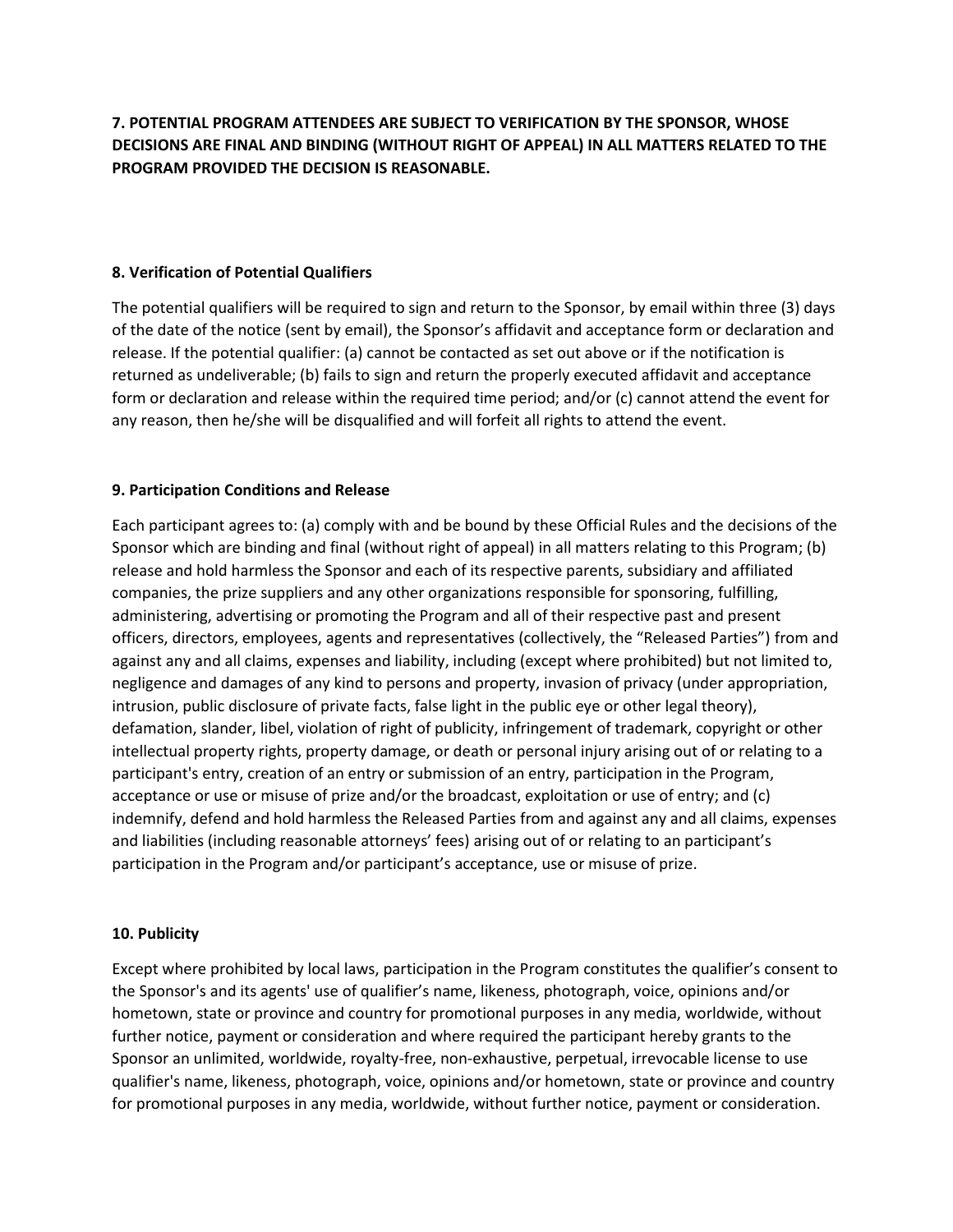## **7. POTENTIAL PROGRAM ATTENDEES ARE SUBJECT TO VERIFICATION BY THE SPONSOR, WHOSE DECISIONS ARE FINAL AND BINDING (WITHOUT RIGHT OF APPEAL) IN ALL MATTERS RELATED TO THE PROGRAM PROVIDED THE DECISION IS REASONABLE.**

#### **8. Verification of Potential Qualifiers**

The potential qualifiers will be required to sign and return to the Sponsor, by email within three (3) days of the date of the notice (sent by email), the Sponsor's affidavit and acceptance form or declaration and release. If the potential qualifier: (a) cannot be contacted as set out above or if the notification is returned as undeliverable; (b) fails to sign and return the properly executed affidavit and acceptance form or declaration and release within the required time period; and/or (c) cannot attend the event for any reason, then he/she will be disqualified and will forfeit all rights to attend the event.

#### **9. Participation Conditions and Release**

Each participant agrees to: (a) comply with and be bound by these Official Rules and the decisions of the Sponsor which are binding and final (without right of appeal) in all matters relating to this Program; (b) release and hold harmless the Sponsor and each of its respective parents, subsidiary and affiliated companies, the prize suppliers and any other organizations responsible for sponsoring, fulfilling, administering, advertising or promoting the Program and all of their respective past and present officers, directors, employees, agents and representatives (collectively, the "Released Parties") from and against any and all claims, expenses and liability, including (except where prohibited) but not limited to, negligence and damages of any kind to persons and property, invasion of privacy (under appropriation, intrusion, public disclosure of private facts, false light in the public eye or other legal theory), defamation, slander, libel, violation of right of publicity, infringement of trademark, copyright or other intellectual property rights, property damage, or death or personal injury arising out of or relating to a participant's entry, creation of an entry or submission of an entry, participation in the Program, acceptance or use or misuse of prize and/or the broadcast, exploitation or use of entry; and (c) indemnify, defend and hold harmless the Released Parties from and against any and all claims, expenses and liabilities (including reasonable attorneys' fees) arising out of or relating to an participant's participation in the Program and/or participant's acceptance, use or misuse of prize.

#### **10. Publicity**

Except where prohibited by local laws, participation in the Program constitutes the qualifier's consent to the Sponsor's and its agents' use of qualifier's name, likeness, photograph, voice, opinions and/or hometown, state or province and country for promotional purposes in any media, worldwide, without further notice, payment or consideration and where required the participant hereby grants to the Sponsor an unlimited, worldwide, royalty-free, non-exhaustive, perpetual, irrevocable license to use qualifier's name, likeness, photograph, voice, opinions and/or hometown, state or province and country for promotional purposes in any media, worldwide, without further notice, payment or consideration.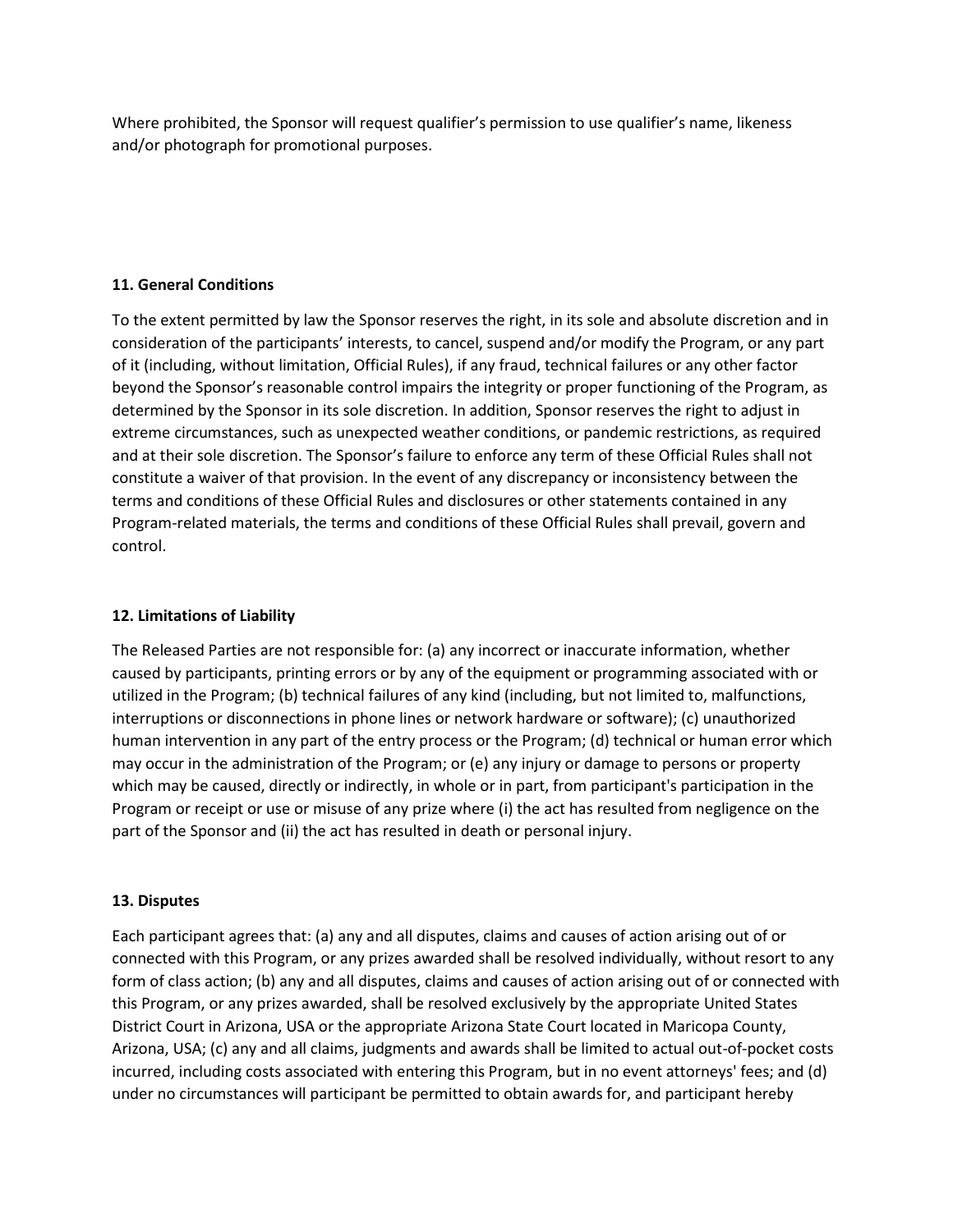Where prohibited, the Sponsor will request qualifier's permission to use qualifier's name, likeness and/or photograph for promotional purposes.

#### **11. General Conditions**

To the extent permitted by law the Sponsor reserves the right, in its sole and absolute discretion and in consideration of the participants' interests, to cancel, suspend and/or modify the Program, or any part of it (including, without limitation, Official Rules), if any fraud, technical failures or any other factor beyond the Sponsor's reasonable control impairs the integrity or proper functioning of the Program, as determined by the Sponsor in its sole discretion. In addition, Sponsor reserves the right to adjust in extreme circumstances, such as unexpected weather conditions, or pandemic restrictions, as required and at their sole discretion. The Sponsor's failure to enforce any term of these Official Rules shall not constitute a waiver of that provision. In the event of any discrepancy or inconsistency between the terms and conditions of these Official Rules and disclosures or other statements contained in any Program-related materials, the terms and conditions of these Official Rules shall prevail, govern and control.

#### **12. Limitations of Liability**

The Released Parties are not responsible for: (a) any incorrect or inaccurate information, whether caused by participants, printing errors or by any of the equipment or programming associated with or utilized in the Program; (b) technical failures of any kind (including, but not limited to, malfunctions, interruptions or disconnections in phone lines or network hardware or software); (c) unauthorized human intervention in any part of the entry process or the Program; (d) technical or human error which may occur in the administration of the Program; or (e) any injury or damage to persons or property which may be caused, directly or indirectly, in whole or in part, from participant's participation in the Program or receipt or use or misuse of any prize where (i) the act has resulted from negligence on the part of the Sponsor and (ii) the act has resulted in death or personal injury.

### **13. Disputes**

Each participant agrees that: (a) any and all disputes, claims and causes of action arising out of or connected with this Program, or any prizes awarded shall be resolved individually, without resort to any form of class action; (b) any and all disputes, claims and causes of action arising out of or connected with this Program, or any prizes awarded, shall be resolved exclusively by the appropriate United States District Court in Arizona, USA or the appropriate Arizona State Court located in Maricopa County, Arizona, USA; (c) any and all claims, judgments and awards shall be limited to actual out-of-pocket costs incurred, including costs associated with entering this Program, but in no event attorneys' fees; and (d) under no circumstances will participant be permitted to obtain awards for, and participant hereby